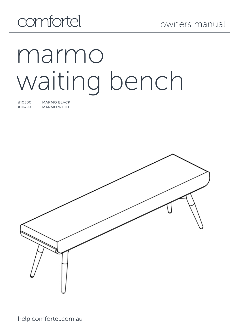## comfortel

# marmo waiting bench

#10500 MARMO BLACK MARMO WHITE

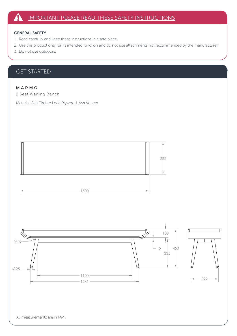#### GENERAL SAFETY

- 1. Read carefully and keep these instructions in a safe place. 40
- 2. Use this product only for its intended function and do not use attachments not recommended by the manufacturer.<br>-
- 3. Do not use outdoors.  $\left\{\begin{array}{c} 3. & \text{Do not use outdoors.} \end{array}\right.$

## GET STARTED 25

#### M A R M O

2 Seat Waiting Bench 2 Seat Waiting Bench

Material: Ash Timber Look Plywood, Ash Veneer



de la construcción de la construcción de la construcción de la construcción de la construcción de la construcc



 $\overline{1}$ 

 $\overline{1}$ 

de la construcción de la construcción de la construcción de la construcción de la construcción de la construcc

<sup>1261</sup><sup>322</sup>

All measurements are in MM.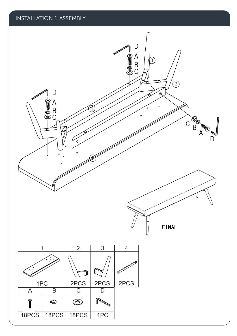